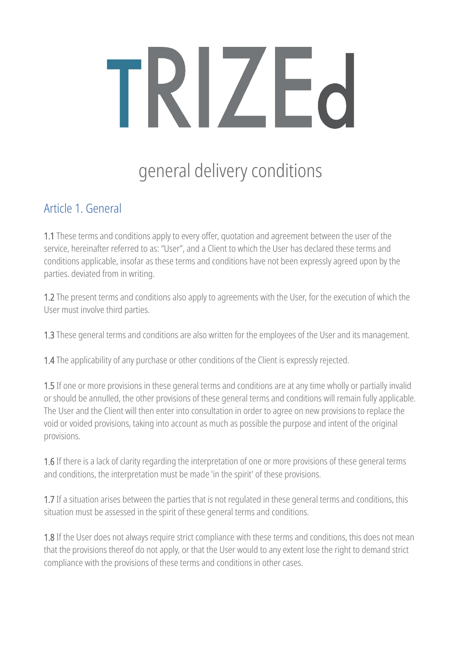# TRIZE

# general delivery conditions

# Article 1. General

1.1 These terms and conditions apply to every offer, quotation and agreement between the user of the service, hereinafter referred to as: "User", and a Client to which the User has declared these terms and conditions applicable, insofar as these terms and conditions have not been expressly agreed upon by the parties. deviated from in writing.

1.2 The present terms and conditions also apply to agreements with the User, for the execution of which the User must involve third parties.

1.3 These general terms and conditions are also written for the employees of the User and its management.

1.4 The applicability of any purchase or other conditions of the Client is expressly rejected.

1.5 If one or more provisions in these general terms and conditions are at any time wholly or partially invalid or should be annulled, the other provisions of these general terms and conditions will remain fully applicable. The User and the Client will then enter into consultation in order to agree on new provisions to replace the void or voided provisions, taking into account as much as possible the purpose and intent of the original provisions.

1.6 If there is a lack of clarity regarding the interpretation of one or more provisions of these general terms and conditions, the interpretation must be made 'in the spirit' of these provisions.

1.7 If a situation arises between the parties that is not regulated in these general terms and conditions, this situation must be assessed in the spirit of these general terms and conditions.

1.8 If the User does not always require strict compliance with these terms and conditions, this does not mean that the provisions thereof do not apply, or that the User would to any extent lose the right to demand strict compliance with the provisions of these terms and conditions in other cases.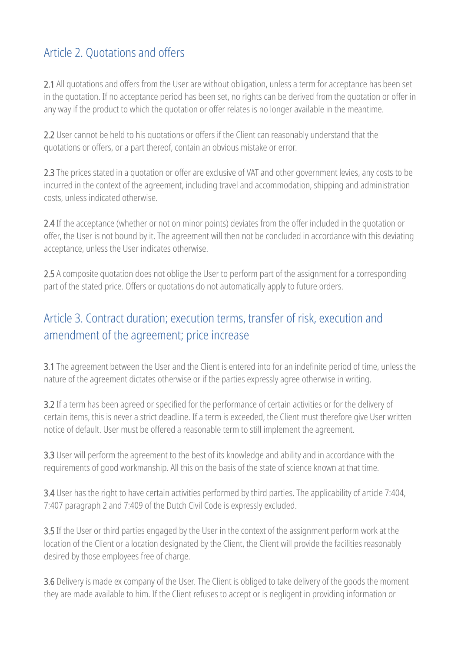#### Article 2. Quotations and offers

2.1 All quotations and offers from the User are without obligation, unless a term for acceptance has been set in the quotation. If no acceptance period has been set, no rights can be derived from the quotation or offer in any way if the product to which the quotation or offer relates is no longer available in the meantime.

2.2 User cannot be held to his quotations or offers if the Client can reasonably understand that the quotations or offers, or a part thereof, contain an obvious mistake or error.

2.3 The prices stated in a quotation or offer are exclusive of VAT and other government levies, any costs to be incurred in the context of the agreement, including travel and accommodation, shipping and administration costs, unless indicated otherwise.

2.4 If the acceptance (whether or not on minor points) deviates from the offer included in the quotation or offer, the User is not bound by it. The agreement will then not be concluded in accordance with this deviating acceptance, unless the User indicates otherwise.

2.5 A composite quotation does not oblige the User to perform part of the assignment for a corresponding part of the stated price. Offers or quotations do not automatically apply to future orders.

# Article 3. Contract duration; execution terms, transfer of risk, execution and amendment of the agreement; price increase

3.1 The agreement between the User and the Client is entered into for an indefinite period of time, unless the nature of the agreement dictates otherwise or if the parties expressly agree otherwise in writing.

3.2 If a term has been agreed or specified for the performance of certain activities or for the delivery of certain items, this is never a strict deadline. If a term is exceeded, the Client must therefore give User written notice of default. User must be offered a reasonable term to still implement the agreement.

3.3 User will perform the agreement to the best of its knowledge and ability and in accordance with the requirements of good workmanship. All this on the basis of the state of science known at that time.

3.4 User has the right to have certain activities performed by third parties. The applicability of article 7:404, 7:407 paragraph 2 and 7:409 of the Dutch Civil Code is expressly excluded.

3.5 If the User or third parties engaged by the User in the context of the assignment perform work at the location of the Client or a location designated by the Client, the Client will provide the facilities reasonably desired by those employees free of charge.

3.6 Delivery is made ex company of the User. The Client is obliged to take delivery of the goods the moment they are made available to him. If the Client refuses to accept or is negligent in providing information or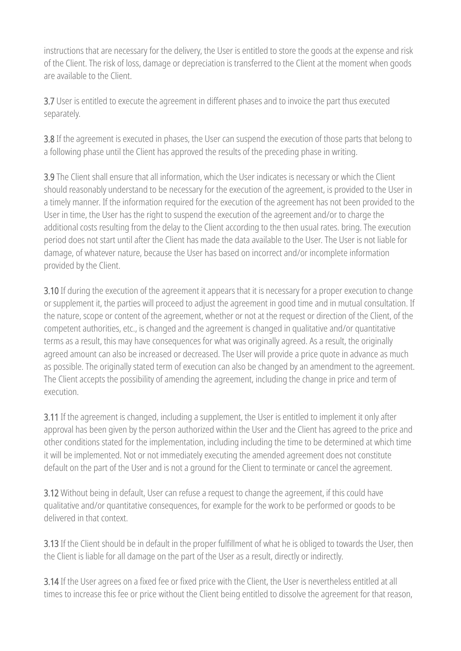instructions that are necessary for the delivery, the User is entitled to store the goods at the expense and risk of the Client. The risk of loss, damage or depreciation is transferred to the Client at the moment when goods are available to the Client.

3.7 User is entitled to execute the agreement in different phases and to invoice the part thus executed separately.

3.8 If the agreement is executed in phases, the User can suspend the execution of those parts that belong to a following phase until the Client has approved the results of the preceding phase in writing.

3.9 The Client shall ensure that all information, which the User indicates is necessary or which the Client should reasonably understand to be necessary for the execution of the agreement, is provided to the User in a timely manner. If the information required for the execution of the agreement has not been provided to the User in time, the User has the right to suspend the execution of the agreement and/or to charge the additional costs resulting from the delay to the Client according to the then usual rates. bring. The execution period does not start until after the Client has made the data available to the User. The User is not liable for damage, of whatever nature, because the User has based on incorrect and/or incomplete information provided by the Client.

3.10 If during the execution of the agreement it appears that it is necessary for a proper execution to change or supplement it, the parties will proceed to adjust the agreement in good time and in mutual consultation. If the nature, scope or content of the agreement, whether or not at the request or direction of the Client, of the competent authorities, etc., is changed and the agreement is changed in qualitative and/or quantitative terms as a result, this may have consequences for what was originally agreed. As a result, the originally agreed amount can also be increased or decreased. The User will provide a price quote in advance as much as possible. The originally stated term of execution can also be changed by an amendment to the agreement. The Client accepts the possibility of amending the agreement, including the change in price and term of execution.

3.11 If the agreement is changed, including a supplement, the User is entitled to implement it only after approval has been given by the person authorized within the User and the Client has agreed to the price and other conditions stated for the implementation, including including the time to be determined at which time it will be implemented. Not or not immediately executing the amended agreement does not constitute default on the part of the User and is not a ground for the Client to terminate or cancel the agreement.

3.12 Without being in default, User can refuse a request to change the agreement, if this could have qualitative and/or quantitative consequences, for example for the work to be performed or goods to be delivered in that context.

3.13 If the Client should be in default in the proper fulfillment of what he is obliged to towards the User, then the Client is liable for all damage on the part of the User as a result, directly or indirectly.

3.14 If the User agrees on a fixed fee or fixed price with the Client, the User is nevertheless entitled at all times to increase this fee or price without the Client being entitled to dissolve the agreement for that reason,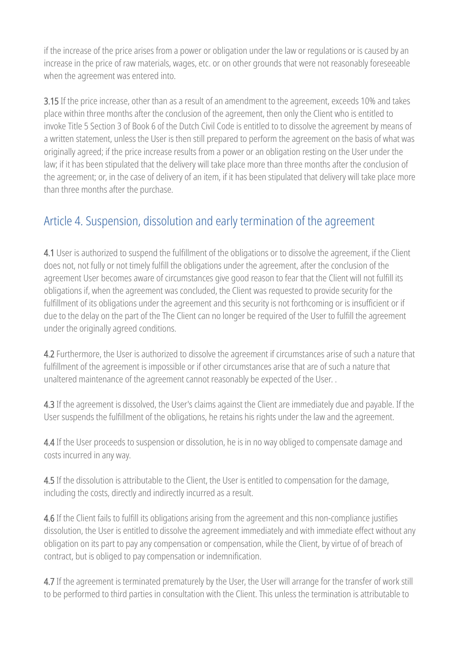if the increase of the price arises from a power or obligation under the law or regulations or is caused by an increase in the price of raw materials, wages, etc. or on other grounds that were not reasonably foreseeable when the agreement was entered into.

3.15 If the price increase, other than as a result of an amendment to the agreement, exceeds 10% and takes place within three months after the conclusion of the agreement, then only the Client who is entitled to invoke Title 5 Section 3 of Book 6 of the Dutch Civil Code is entitled to to dissolve the agreement by means of a written statement, unless the User is then still prepared to perform the agreement on the basis of what was originally agreed; if the price increase results from a power or an obligation resting on the User under the law; if it has been stipulated that the delivery will take place more than three months after the conclusion of the agreement; or, in the case of delivery of an item, if it has been stipulated that delivery will take place more than three months after the purchase.

# Article 4. Suspension, dissolution and early termination of the agreement

4.1 User is authorized to suspend the fulfillment of the obligations or to dissolve the agreement, if the Client does not, not fully or not timely fulfill the obligations under the agreement, after the conclusion of the agreement User becomes aware of circumstances give good reason to fear that the Client will not fulfill its obligations if, when the agreement was concluded, the Client was requested to provide security for the fulfillment of its obligations under the agreement and this security is not forthcoming or is insufficient or if due to the delay on the part of the The Client can no longer be required of the User to fulfill the agreement under the originally agreed conditions.

4.2 Furthermore, the User is authorized to dissolve the agreement if circumstances arise of such a nature that fulfillment of the agreement is impossible or if other circumstances arise that are of such a nature that unaltered maintenance of the agreement cannot reasonably be expected of the User. .

4.3 If the agreement is dissolved, the User's claims against the Client are immediately due and payable. If the User suspends the fulfillment of the obligations, he retains his rights under the law and the agreement.

4.4 If the User proceeds to suspension or dissolution, he is in no way obliged to compensate damage and costs incurred in any way.

4.5 If the dissolution is attributable to the Client, the User is entitled to compensation for the damage, including the costs, directly and indirectly incurred as a result.

4.6 If the Client fails to fulfill its obligations arising from the agreement and this non-compliance justifies dissolution, the User is entitled to dissolve the agreement immediately and with immediate effect without any obligation on its part to pay any compensation or compensation, while the Client, by virtue of of breach of contract, but is obliged to pay compensation or indemnification.

4.7 If the agreement is terminated prematurely by the User, the User will arrange for the transfer of work still to be performed to third parties in consultation with the Client. This unless the termination is attributable to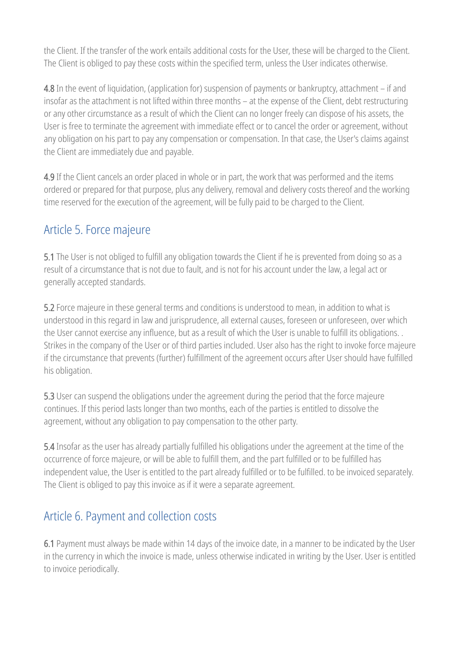the Client. If the transfer of the work entails additional costs for the User, these will be charged to the Client. The Client is obliged to pay these costs within the specified term, unless the User indicates otherwise.

4.8 In the event of liquidation, (application for) suspension of payments or bankruptcy, attachment – if and insofar as the attachment is not lifted within three months – at the expense of the Client, debt restructuring or any other circumstance as a result of which the Client can no longer freely can dispose of his assets, the User is free to terminate the agreement with immediate effect or to cancel the order or agreement, without any obligation on his part to pay any compensation or compensation. In that case, the User's claims against the Client are immediately due and payable.

4.9 If the Client cancels an order placed in whole or in part, the work that was performed and the items ordered or prepared for that purpose, plus any delivery, removal and delivery costs thereof and the working time reserved for the execution of the agreement, will be fully paid to be charged to the Client.

#### Article 5. Force majeure

5.1 The User is not obliged to fulfill any obligation towards the Client if he is prevented from doing so as a result of a circumstance that is not due to fault, and is not for his account under the law, a legal act or generally accepted standards.

5.2 Force majeure in these general terms and conditions is understood to mean, in addition to what is understood in this regard in law and jurisprudence, all external causes, foreseen or unforeseen, over which the User cannot exercise any influence, but as a result of which the User is unable to fulfill its obligations. . Strikes in the company of the User or of third parties included. User also has the right to invoke force majeure if the circumstance that prevents (further) fulfillment of the agreement occurs after User should have fulfilled his obligation.

5.3 User can suspend the obligations under the agreement during the period that the force majeure continues. If this period lasts longer than two months, each of the parties is entitled to dissolve the agreement, without any obligation to pay compensation to the other party.

5.4 Insofar as the user has already partially fulfilled his obligations under the agreement at the time of the occurrence of force majeure, or will be able to fulfill them, and the part fulfilled or to be fulfilled has independent value, the User is entitled to the part already fulfilled or to be fulfilled. to be invoiced separately. The Client is obliged to pay this invoice as if it were a separate agreement.

#### Article 6. Payment and collection costs

6.1 Payment must always be made within 14 days of the invoice date, in a manner to be indicated by the User in the currency in which the invoice is made, unless otherwise indicated in writing by the User. User is entitled to invoice periodically.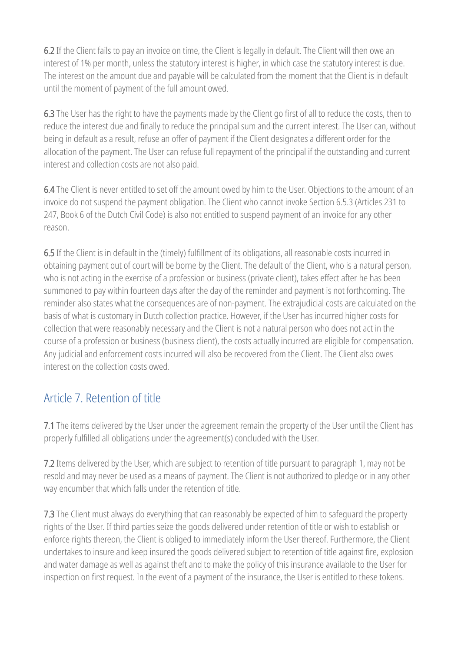6.2 If the Client fails to pay an invoice on time, the Client is legally in default. The Client will then owe an interest of 1% per month, unless the statutory interest is higher, in which case the statutory interest is due. The interest on the amount due and payable will be calculated from the moment that the Client is in default until the moment of payment of the full amount owed.

6.3 The User has the right to have the payments made by the Client go first of all to reduce the costs, then to reduce the interest due and finally to reduce the principal sum and the current interest. The User can, without being in default as a result, refuse an offer of payment if the Client designates a different order for the allocation of the payment. The User can refuse full repayment of the principal if the outstanding and current interest and collection costs are not also paid.

6.4 The Client is never entitled to set off the amount owed by him to the User. Objections to the amount of an invoice do not suspend the payment obligation. The Client who cannot invoke Section 6.5.3 (Articles 231 to 247, Book 6 of the Dutch Civil Code) is also not entitled to suspend payment of an invoice for any other reason.

6.5 If the Client is in default in the (timely) fulfillment of its obligations, all reasonable costs incurred in obtaining payment out of court will be borne by the Client. The default of the Client, who is a natural person, who is not acting in the exercise of a profession or business (private client), takes effect after he has been summoned to pay within fourteen days after the day of the reminder and payment is not forthcoming. The reminder also states what the consequences are of non-payment. The extrajudicial costs are calculated on the basis of what is customary in Dutch collection practice. However, if the User has incurred higher costs for collection that were reasonably necessary and the Client is not a natural person who does not act in the course of a profession or business (business client), the costs actually incurred are eligible for compensation. Any judicial and enforcement costs incurred will also be recovered from the Client. The Client also owes interest on the collection costs owed.

#### Article 7. Retention of title

7.1 The items delivered by the User under the agreement remain the property of the User until the Client has properly fulfilled all obligations under the agreement(s) concluded with the User.

7.2 Items delivered by the User, which are subject to retention of title pursuant to paragraph 1, may not be resold and may never be used as a means of payment. The Client is not authorized to pledge or in any other way encumber that which falls under the retention of title.

7.3 The Client must always do everything that can reasonably be expected of him to safeguard the property rights of the User. If third parties seize the goods delivered under retention of title or wish to establish or enforce rights thereon, the Client is obliged to immediately inform the User thereof. Furthermore, the Client undertakes to insure and keep insured the goods delivered subject to retention of title against fire, explosion and water damage as well as against theft and to make the policy of this insurance available to the User for inspection on first request. In the event of a payment of the insurance, the User is entitled to these tokens.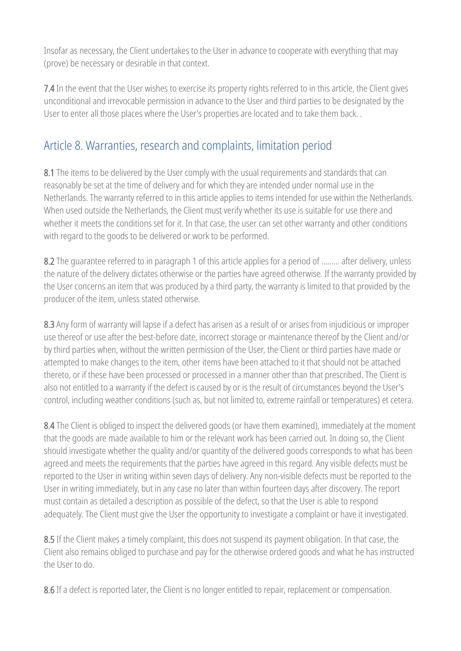Insofar as necessary, the Client undertakes to the User in advance to cooperate with everything that may (prove) be necessary or desirable in that context.

7.4 In the event that the User wishes to exercise its property rights referred to in this article, the Client gives unconditional and irrevocable permission in advance to the User and third parties to be designated by the User to enter all those places where the User's properties are located and to take them back. .

# Article 8. Warranties, research and complaints, limitation period

8.1 The items to be delivered by the User comply with the usual requirements and standards that can reasonably be set at the time of delivery and for which they are intended under normal use in the Netherlands. The warranty referred to in this article applies to items intended for use within the Netherlands. When used outside the Netherlands, the Client must verify whether its use is suitable for use there and whether it meets the conditions set for it. In that case, the user can set other warranty and other conditions with regard to the goods to be delivered or work to be performed.

8.2 The quarantee referred to in paragraph 1 of this article applies for a period of ......... after delivery, unless the nature of the delivery dictates otherwise or the parties have agreed otherwise. If the warranty provided by the User concerns an item that was produced by a third party, the warranty is limited to that provided by the producer of the item, unless stated otherwise.

8.3 Any form of warranty will lapse if a defect has arisen as a result of or arises from injudicious or improper use thereof or use after the best-before date, incorrect storage or maintenance thereof by the Client and/or by third parties when, without the written permission of the User, the Client or third parties have made or attempted to make changes to the item, other items have been attached to it that should not be attached thereto, or if these have been processed or processed in a manner other than that prescribed. The Client is also not entitled to a warranty if the defect is caused by or is the result of circumstances beyond the User's control, including weather conditions (such as, but not limited to, extreme rainfall or temperatures) et cetera.

8.4 The Client is obliged to inspect the delivered goods (or have them examined), immediately at the moment that the goods are made available to him or the relevant work has been carried out. In doing so, the Client should investigate whether the quality and/or quantity of the delivered goods corresponds to what has been agreed and meets the requirements that the parties have agreed in this regard. Any visible defects must be reported to the User in writing within seven days of delivery. Any non-visible defects must be reported to the User in writing immediately, but in any case no later than within fourteen days after discovery. The report must contain as detailed a description as possible of the defect, so that the User is able to respond adequately. The Client must give the User the opportunity to investigate a complaint or have it investigated.

8.5 If the Client makes a timely complaint, this does not suspend its payment obligation. In that case, the Client also remains obliged to purchase and pay for the otherwise ordered goods and what he has instructed the User to do.

8.6 If a defect is reported later, the Client is no longer entitled to repair, replacement or compensation.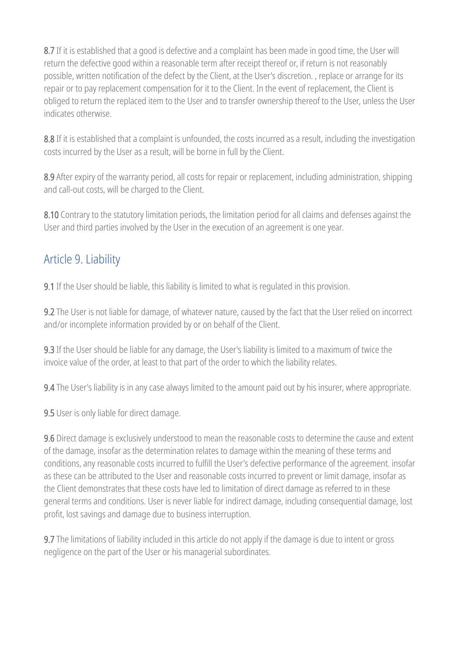8.7 If it is established that a good is defective and a complaint has been made in good time, the User will return the defective good within a reasonable term after receipt thereof or, if return is not reasonably possible, written notification of the defect by the Client, at the User's discretion. , replace or arrange for its repair or to pay replacement compensation for it to the Client. In the event of replacement, the Client is obliged to return the replaced item to the User and to transfer ownership thereof to the User, unless the User indicates otherwise.

8.8 If it is established that a complaint is unfounded, the costs incurred as a result, including the investigation costs incurred by the User as a result, will be borne in full by the Client.

8.9 After expiry of the warranty period, all costs for repair or replacement, including administration, shipping and call-out costs, will be charged to the Client.

8.10 Contrary to the statutory limitation periods, the limitation period for all claims and defenses against the User and third parties involved by the User in the execution of an agreement is one year.

#### Article 9. Liability

9.1 If the User should be liable, this liability is limited to what is regulated in this provision.

9.2 The User is not liable for damage, of whatever nature, caused by the fact that the User relied on incorrect and/or incomplete information provided by or on behalf of the Client.

9.3 If the User should be liable for any damage, the User's liability is limited to a maximum of twice the invoice value of the order, at least to that part of the order to which the liability relates.

9.4 The User's liability is in any case always limited to the amount paid out by his insurer, where appropriate.

9.5 User is only liable for direct damage.

9.6 Direct damage is exclusively understood to mean the reasonable costs to determine the cause and extent of the damage, insofar as the determination relates to damage within the meaning of these terms and conditions, any reasonable costs incurred to fulfill the User's defective performance of the agreement. insofar as these can be attributed to the User and reasonable costs incurred to prevent or limit damage, insofar as the Client demonstrates that these costs have led to limitation of direct damage as referred to in these general terms and conditions. User is never liable for indirect damage, including consequential damage, lost profit, lost savings and damage due to business interruption.

9.7 The limitations of liability included in this article do not apply if the damage is due to intent or gross negligence on the part of the User or his managerial subordinates.